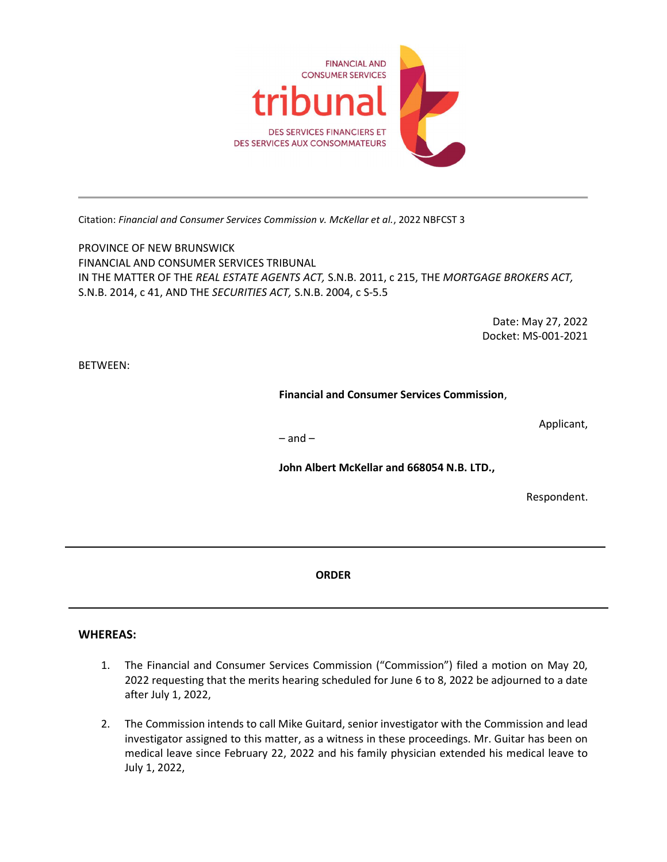

Citation: Financial and Consumer Services Commission v. McKellar et al., 2022 NBFCST 3

PROVINCE OF NEW BRUNSWICK FINANCIAL AND CONSUMER SERVICES TRIBUNAL IN THE MATTER OF THE REAL ESTATE AGENTS ACT, S.N.B. 2011, c 215, THE MORTGAGE BROKERS ACT, S.N.B. 2014, c 41, AND THE SECURITIES ACT, S.N.B. 2004, c S-5.5

> Date: May 27, 2022 Docket: MS-001-2021

BETWEEN:

Financial and Consumer Services Commission,

Applicant,

 $-$  and  $-$ 

John Albert McKellar and 668054 N.B. LTD.,

Respondent.

ORDER

## WHEREAS:

l

- 1. The Financial and Consumer Services Commission ("Commission") filed a motion on May 20, 2022 requesting that the merits hearing scheduled for June 6 to 8, 2022 be adjourned to a date after July 1, 2022,
- 2. The Commission intends to call Mike Guitard, senior investigator with the Commission and lead investigator assigned to this matter, as a witness in these proceedings. Mr. Guitar has been on medical leave since February 22, 2022 and his family physician extended his medical leave to July 1, 2022,